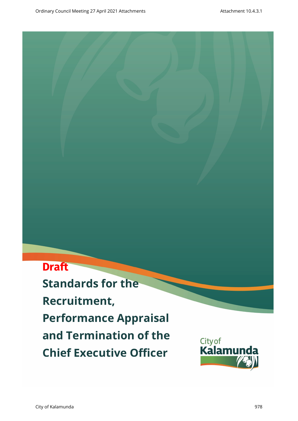# **Draft**

**Standards for the Recruitment, Performance Appraisal and Termination of the Chief Executive Officer**

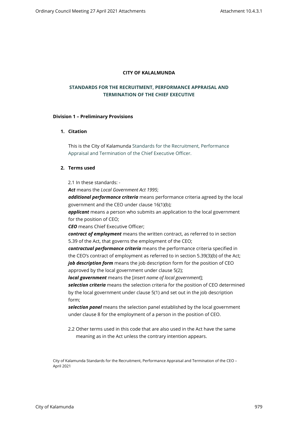#### **CITY OF KALALMUNDA**

# **STANDARDS FOR THE RECRUITMENT, PERFORMANCE APPRAISAL AND TERMINATION OF THE CHIEF EXECUTIVE**

#### **Division 1 – Preliminary Provisions**

## **1. Citation**

This is the City of Kalamunda Standards for the Recruitment, Performance Appraisal and Termination of the Chief Executive Officer.

## **2. Terms used**

2.1 In these standards: -

*Act* means the *Local Government Act 1995*;

*additional performance criteria* means performance criteria agreed by the local government and the CEO under clause 16(1)(b);

*applicant* means a person who submits an application to the local government for the position of CEO;

*CEO* means Chief Executive Officer;

*contract of employment* means the written contract, as referred to in section 5.39 of the Act, that governs the employment of the CEO;

*contractual performance criteria* means the performance criteria specified in the CEO's contract of employment as referred to in section 5.39(3)(b) of the Act; *job description form* means the job description form for the position of CEO approved by the local government under clause 5(2);

*local government* means the [*insert name of local government*];

*selection criteria* means the selection criteria for the position of CEO determined by the local government under clause 5(1) and set out in the job description form;

*selection panel* means the selection panel established by the local government under clause 8 for the employment of a person in the position of CEO.

2.2 Other terms used in this code that are also used in the Act have the same meaning as in the Act unless the contrary intention appears.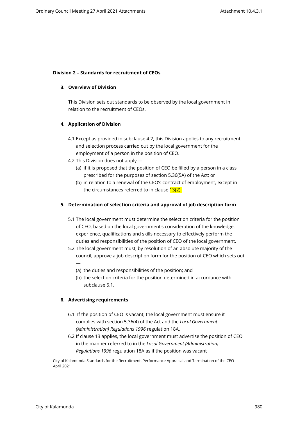### **Division 2 – Standards for recruitment of CEOs**

#### **3. Overview of Division**

This Division sets out standards to be observed by the local government in relation to the recruitment of CEOs.

#### **4. Application of Division**

- 4.1 Except as provided in subclause 4.2, this Division applies to any recruitment and selection process carried out by the local government for the employment of a person in the position of CEO.
- 4.2 This Division does not apply
	- (a) if it is proposed that the position of CEO be filled by a person in a class prescribed for the purposes of section 5.36(5A) of the Act; or
	- (b) in relation to a renewal of the CEO's contract of employment, except in the circumstances referred to in clause 13(2).

## **5. Determination of selection criteria and approval of job description form**

- 5.1 The local government must determine the selection criteria for the position of CEO, based on the local government's consideration of the knowledge, experience, qualifications and skills necessary to effectively perform the duties and responsibilities of the position of CEO of the local government.
- 5.2 The local government must, by resolution of an absolute majority of the council, approve a job description form for the position of CEO which sets out —
	- (a) the duties and responsibilities of the position; and
	- (b) the selection criteria for the position determined in accordance with subclause 5.1.

## **6. Advertising requirements**

- 6.1 If the position of CEO is vacant, the local government must ensure it complies with section 5.36(4) of the Act and the *Local Government (Administration) Regulations 1996* regulation 18A.
- 6.2 If clause 13 applies, the local government must advertise the position of CEO in the manner referred to in the *Local Government (Administration) Regulations 1996* regulation 18A as if the position was vacant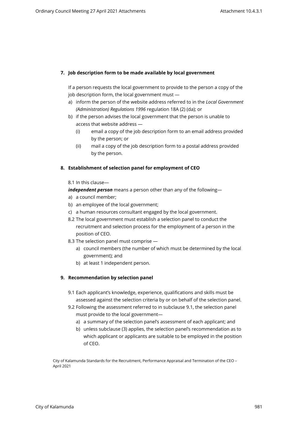## **7. Job description form to be made available by local government**

If a person requests the local government to provide to the person a copy of the job description form, the local government must —

- a) inform the person of the website address referred to in the *Local Government (Administration) Regulations 1996* regulation 18A (2) (da); or
- b) if the person advises the local government that the person is unable to access that website address —
	- (i) email a copy of the job description form to an email address provided by the person; or
	- (ii) mail a copy of the job description form to a postal address provided by the person.

## **8. Establishment of selection panel for employment of CEO**

#### 8.1 In this clause—

*independent person* means a person other than any of the following—

- a) a council member;
- b) an employee of the local government;
- c) a human resources consultant engaged by the local government.
- 8.2 The local government must establish a selection panel to conduct the recruitment and selection process for the employment of a person in the position of CEO.
- 8.3 The selection panel must comprise
	- a) council members (the number of which must be determined by the local government); and
	- b) at least 1 independent person.

## **9. Recommendation by selection panel**

- 9.1 Each applicant's knowledge, experience, qualifications and skills must be assessed against the selection criteria by or on behalf of the selection panel.
- 9.2 Following the assessment referred to in subclause 9.1, the selection panel must provide to the local government
	- a) a summary of the selection panel's assessment of each applicant; and
	- b) unless subclause (3) applies, the selection panel's recommendation as to which applicant or applicants are suitable to be employed in the position of CEO.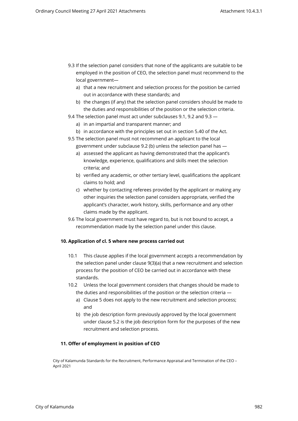- 9.3 If the selection panel considers that none of the applicants are suitable to be employed in the position of CEO, the selection panel must recommend to the local government
	- a) that a new recruitment and selection process for the position be carried out in accordance with these standards; and
	- b) the changes (if any) that the selection panel considers should be made to the duties and responsibilities of the position or the selection criteria.
- 9.4 The selection panel must act under subclauses 9.1, 9.2 and 9.3
	- a) in an impartial and transparent manner; and
	- b) in accordance with the principles set out in section 5.40 of the Act.
- 9.5 The selection panel must not recommend an applicant to the local government under subclause 9.2 (b) unless the selection panel has
	- a) assessed the applicant as having demonstrated that the applicant's knowledge, experience, qualifications and skills meet the selection criteria; and
	- b) verified any academic, or other tertiary level, qualifications the applicant claims to hold; and
	- c) whether by contacting referees provided by the applicant or making any other inquiries the selection panel considers appropriate, verified the applicant's character, work history, skills, performance and any other claims made by the applicant.
- 9.6 The local government must have regard to, but is not bound to accept, a recommendation made by the selection panel under this clause.

## **10. Application of cl. 5 where new process carried out**

- 10.1 This clause applies if the local government accepts a recommendation by the selection panel under clause 9(3)(a) that a new recruitment and selection process for the position of CEO be carried out in accordance with these standards.
- 10.2 Unless the local government considers that changes should be made to the duties and responsibilities of the position or the selection criteria
	- a) Clause 5 does not apply to the new recruitment and selection process; and
	- b) the job description form previously approved by the local government under clause 5.2 is the job description form for the purposes of the new recruitment and selection process.

#### **11. Offer of employment in position of CEO**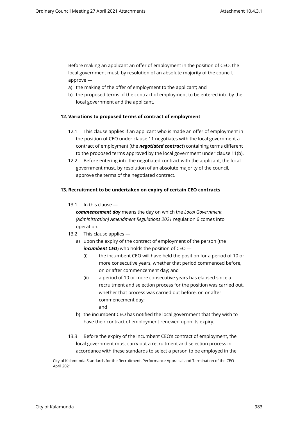Before making an applicant an offer of employment in the position of CEO, the local government must, by resolution of an absolute majority of the council, approve —

- a) the making of the offer of employment to the applicant; and
- b) the proposed terms of the contract of employment to be entered into by the local government and the applicant.

#### **12. Variations to proposed terms of contract of employment**

- 12.1 This clause applies if an applicant who is made an offer of employment in the position of CEO under clause 11 negotiates with the local government a contract of employment (the *negotiated contract*) containing terms different to the proposed terms approved by the local government under clause 11(b).
- 12.2 Before entering into the negotiated contract with the applicant, the local government must, by resolution of an absolute majority of the council, approve the terms of the negotiated contract.

#### **13. Recruitment to be undertaken on expiry of certain CEO contracts**

13.1 In this clause —

*commencement day* means the day on which the *Local Government (Administration) Amendment Regulations 2021* regulation 6 comes into operation.

- 13.2 This clause applies
	- a) upon the expiry of the contract of employment of the person (the **incumbent CEO**) who holds the position of CEO —
		- (i) the incumbent CEO will have held the position for a period of 10 or more consecutive years, whether that period commenced before, on or after commencement day; and
		- (ii) a period of 10 or more consecutive years has elapsed since a recruitment and selection process for the position was carried out, whether that process was carried out before, on or after commencement day; and
	- b) the incumbent CEO has notified the local government that they wish to have their contract of employment renewed upon its expiry.
- 13.3 Before the expiry of the incumbent CEO's contract of employment, the local government must carry out a recruitment and selection process in accordance with these standards to select a person to be employed in the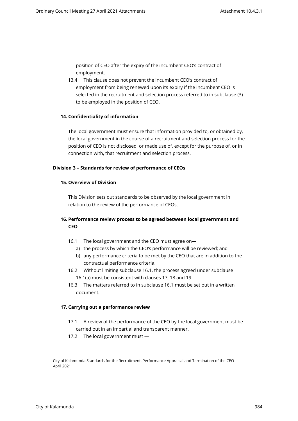position of CEO after the expiry of the incumbent CEO's contract of employment.

13.4 This clause does not prevent the incumbent CEO's contract of employment from being renewed upon its expiry if the incumbent CEO is selected in the recruitment and selection process referred to in subclause (3) to be employed in the position of CEO.

#### **14. Confidentiality of information**

The local government must ensure that information provided to, or obtained by, the local government in the course of a recruitment and selection process for the position of CEO is not disclosed, or made use of, except for the purpose of, or in connection with, that recruitment and selection process.

#### **Division 3 – Standards for review of performance of CEOs**

#### **15. Overview of Division**

This Division sets out standards to be observed by the local government in relation to the review of the performance of CEOs.

# **16. Performance review process to be agreed between local government and CEO**

- 16.1 The local government and the CEO must agree on
	- a) the process by which the CEO's performance will be reviewed; and
	- b) any performance criteria to be met by the CEO that are in addition to the contractual performance criteria.
- 16.2 Without limiting subclause 16.1, the process agreed under subclause 16.1(a) must be consistent with clauses 17, 18 and 19.
- 16.3 The matters referred to in subclause 16.1 must be set out in a written document.

#### **17. Carrying out a performance review**

- 17.1 A review of the performance of the CEO by the local government must be carried out in an impartial and transparent manner.
- 17.2 The local government must —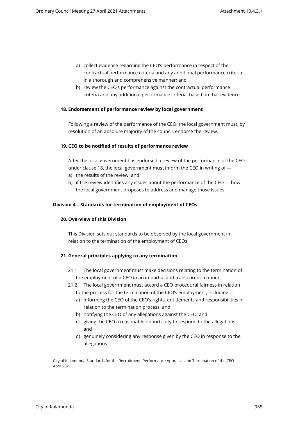- a) collect evidence regarding the CEO's performance in respect of the contractual performance criteria and any additional performance criteria in a thorough and comprehensive manner; and
- b) review the CEO's performance against the contractual performance criteria and any additional performance criteria, based on that evidence.

#### **18. Endorsement of performance review by local government**

Following a review of the performance of the CEO, the local government must, by resolution of an absolute majority of the council, endorse the review.

#### **19. CEO to be notified of results of performance review**

After the local government has endorsed a review of the performance of the CEO under clause 18, the local government must inform the CEO in writing of —

- a) the results of the review; and
- b) if the review identifies any issues about the performance of the CEO how the local government proposes to address and manage those issues.

#### **Division 4 – Standards for termination of employment of CEOs**

#### **20. Overview of this Division**

This Division sets out standards to be observed by the local government in relation to the termination of the employment of CEOs.

## **21. General principles applying to any termination**

- 21.1 The local government must make decisions relating to the termination of the employment of a CEO in an impartial and transparent manner.
- 21.2 The local government must accord a CEO procedural fairness in relation to the process for the termination of the CEO's employment, including
	- a) informing the CEO of the CEO's rights, entitlements and responsibilities in relation to the termination process; and
	- b) notifying the CEO of any allegations against the CEO; and
	- c) giving the CEO a reasonable opportunity to respond to the allegations; and
	- d) genuinely considering any response given by the CEO in response to the allegations.